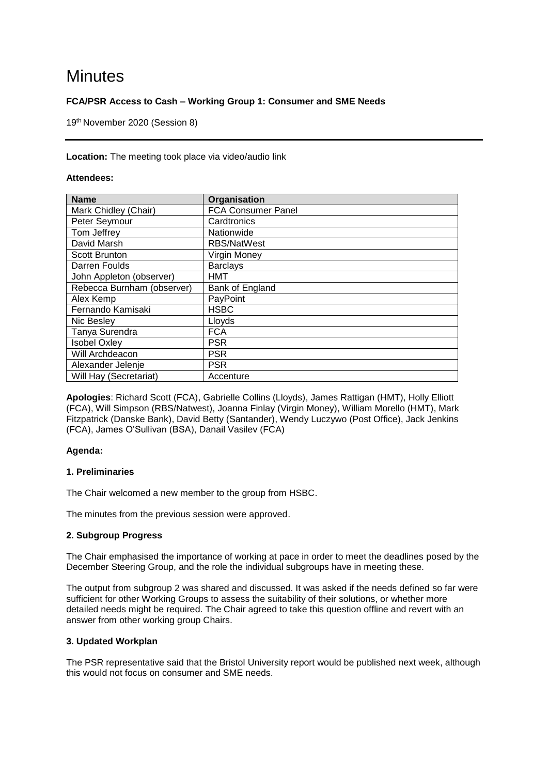# **Minutes**

# **FCA/PSR Access to Cash – Working Group 1: Consumer and SME Needs**

19 th November 2020 (Session 8)

### **Location:** The meeting took place via video/audio link

# **Attendees:**

| <b>Name</b>                | Organisation              |
|----------------------------|---------------------------|
| Mark Chidley (Chair)       | <b>FCA Consumer Panel</b> |
| Peter Seymour              | Cardtronics               |
| Tom Jeffrey                | Nationwide                |
| David Marsh                | RBS/NatWest               |
| Scott Brunton              | Virgin Money              |
| Darren Foulds              | <b>Barclays</b>           |
| John Appleton (observer)   | HMT                       |
| Rebecca Burnham (observer) | Bank of England           |
| Alex Kemp                  | PayPoint                  |
| Fernando Kamisaki          | <b>HSBC</b>               |
| Nic Besley                 | Lloyds                    |
| Tanya Surendra             | <b>FCA</b>                |
| <b>Isobel Oxley</b>        | <b>PSR</b>                |
| Will Archdeacon            | <b>PSR</b>                |
| Alexander Jelenje          | <b>PSR</b>                |
| Will Hay (Secretariat)     | Accenture                 |

**Apologies**: Richard Scott (FCA), Gabrielle Collins (Lloyds), James Rattigan (HMT), Holly Elliott (FCA), Will Simpson (RBS/Natwest), Joanna Finlay (Virgin Money), William Morello (HMT), Mark Fitzpatrick (Danske Bank), David Betty (Santander), Wendy Luczywo (Post Office), Jack Jenkins (FCA), James O'Sullivan (BSA), Danail Vasilev (FCA)

# **Agenda:**

#### **1. Preliminaries**

The Chair welcomed a new member to the group from HSBC.

The minutes from the previous session were approved.

# **2. Subgroup Progress**

The Chair emphasised the importance of working at pace in order to meet the deadlines posed by the December Steering Group, and the role the individual subgroups have in meeting these.

The output from subgroup 2 was shared and discussed. It was asked if the needs defined so far were sufficient for other Working Groups to assess the suitability of their solutions, or whether more detailed needs might be required. The Chair agreed to take this question offline and revert with an answer from other working group Chairs.

# **3. Updated Workplan**

The PSR representative said that the Bristol University report would be published next week, although this would not focus on consumer and SME needs.